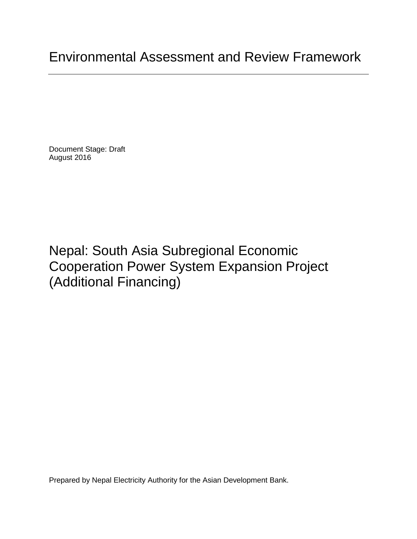Document Stage: Draft August 2016

Nepal: South Asia Subregional Economic Cooperation Power System Expansion Project (Additional Financing)

Prepared by Nepal Electricity Authority for the Asian Development Bank.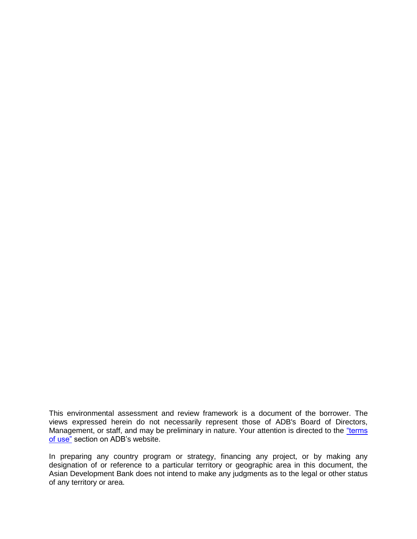This environmental assessment and review framework is a document of the borrower. The views expressed herein do not necessarily represent those of ADB's Board of Directors, Management, or staff, and may be preliminary in nature. Your attention is directed to the "terms" [of use"](http://www.adb.org/terms-use) section on ADB's website.

In preparing any country program or strategy, financing any project, or by making any designation of or reference to a particular territory or geographic area in this document, the Asian Development Bank does not intend to make any judgments as to the legal or other status of any territory or area.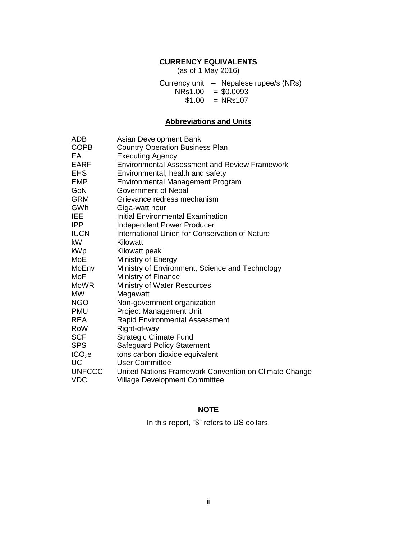# **CURRENCY EQUIVALENTS**

(as of 1 May 2016)

Currency unit – Nepalese rupee/s (NRs)  $NRs1.00 = $0.0093$  $$1.00 = NRs107$ 

# **Abbreviations and Units**

| ADB                | Asian Development Bank                                |
|--------------------|-------------------------------------------------------|
| <b>COPB</b>        | <b>Country Operation Business Plan</b>                |
| EA                 | <b>Executing Agency</b>                               |
| <b>EARF</b>        | <b>Environmental Assessment and Review Framework</b>  |
| <b>EHS</b>         | Environmental, health and safety                      |
| <b>EMP</b>         | <b>Environmental Management Program</b>               |
| GoN                | Government of Nepal                                   |
| <b>GRM</b>         | Grievance redress mechanism                           |
| GWh                | Giga-watt hour                                        |
| IEE                | Initial Environmental Examination                     |
| IPP                | <b>Independent Power Producer</b>                     |
| <b>IUCN</b>        | <b>International Union for Conservation of Nature</b> |
| kW                 | Kilowatt                                              |
| kWp                | Kilowatt peak                                         |
| MoE                | Ministry of Energy                                    |
| MoEnv              | Ministry of Environment, Science and Technology       |
| MoF                | Ministry of Finance                                   |
| <b>MoWR</b>        | Ministry of Water Resources                           |
| <b>MW</b>          | Megawatt                                              |
| <b>NGO</b>         | Non-government organization                           |
| <b>PMU</b>         | Project Management Unit                               |
| <b>REA</b>         | <b>Rapid Environmental Assessment</b>                 |
| RoW                | Right-of-way                                          |
| <b>SCF</b>         | <b>Strategic Climate Fund</b>                         |
| <b>SPS</b>         | <b>Safeguard Policy Statement</b>                     |
| tCO <sub>2</sub> e | tons carbon dioxide equivalent                        |
| <b>UC</b>          | <b>User Committee</b>                                 |
| <b>UNFCCC</b>      | United Nations Framework Convention on Climate Change |
| <b>VDC</b>         | <b>Village Development Committee</b>                  |

#### **NOTE**

In this report, "\$" refers to US dollars.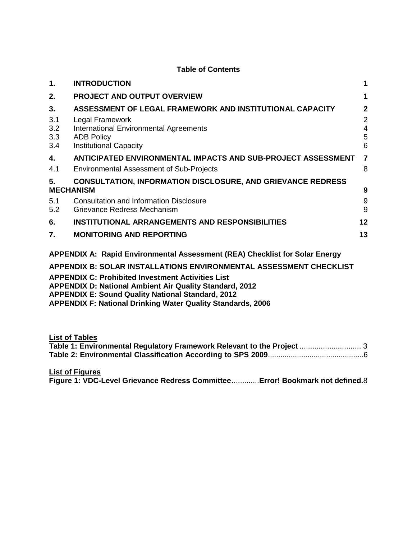#### **Table of Contents**

| 1.                                                                          | <b>INTRODUCTION</b>                                                                                                                                                                | 1                                               |
|-----------------------------------------------------------------------------|------------------------------------------------------------------------------------------------------------------------------------------------------------------------------------|-------------------------------------------------|
| 2.                                                                          | <b>PROJECT AND OUTPUT OVERVIEW</b>                                                                                                                                                 | 1                                               |
| 3.<br>3.1<br>3.2<br>3.3<br>3.4                                              | ASSESSMENT OF LEGAL FRAMEWORK AND INSTITUTIONAL CAPACITY<br>Legal Framework<br><b>International Environmental Agreements</b><br><b>ADB Policy</b><br><b>Institutional Capacity</b> | $\overline{2}$<br>$\overline{2}$<br>4<br>5<br>6 |
| 4.<br>4.1                                                                   | ANTICIPATED ENVIRONMENTAL IMPACTS AND SUB-PROJECT ASSESSMENT<br><b>Environmental Assessment of Sub-Projects</b>                                                                    | 7<br>8                                          |
| 5.                                                                          | <b>CONSULTATION, INFORMATION DISCLOSURE, AND GRIEVANCE REDRESS</b><br><b>MECHANISM</b>                                                                                             | 9                                               |
| 5.1<br>5.2                                                                  | <b>Consultation and Information Disclosure</b><br>Grievance Redress Mechanism                                                                                                      | 9<br>9                                          |
| 6.                                                                          | <b>INSTITUTIONAL ARRANGEMENTS AND RESPONSIBILITIES</b>                                                                                                                             | 12                                              |
| 7.                                                                          | <b>MONITORING AND REPORTING</b>                                                                                                                                                    | 13                                              |
| APPENDIX A: Rapid Environmental Assessment (REA) Checklist for Solar Energy |                                                                                                                                                                                    |                                                 |

**[APPENDIX B: SOLAR INSTALLATIONS ENVIRONMENTAL ASSESSMENT CHECKLIST](#page-23-0)**

**APPENDIX C: Prohibited Investment Activities List**

**APPENDIX D: National Ambient Air Quality Standard, 2012**

**APPENDIX E: Sound Quality National Standard, 2012**

**APPENDIX F: National Drinking Water Quality Standards, 2006**

**List of Tables**

| Table 1: Environmental Regulatory Framework Relevant to the Project  3 |  |
|------------------------------------------------------------------------|--|
|                                                                        |  |

**List of Figures**

**Figure 1: VDC-Level Grievance Redress Committee**.............**Error! Bookmark not defined.**8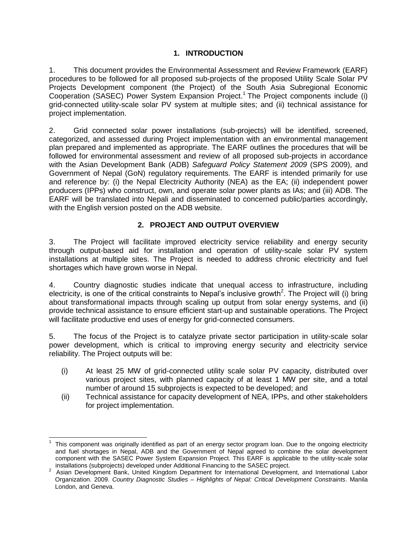# **1. INTRODUCTION**

<span id="page-6-0"></span>1. This document provides the Environmental Assessment and Review Framework (EARF) procedures to be followed for all proposed sub-projects of the proposed Utility Scale Solar PV Projects Development component (the Project) of the South Asia Subregional Economic Cooperation (SASEC) Power System Expansion Project.<sup>1</sup> The Project components include (i) grid-connected utility-scale solar PV system at multiple sites; and (ii) technical assistance for project implementation.

2. Grid connected solar power installations (sub-projects) will be identified, screened, categorized, and assessed during Project implementation with an environmental management plan prepared and implemented as appropriate. The EARF outlines the procedures that will be followed for environmental assessment and review of all proposed sub-projects in accordance with the Asian Development Bank (ADB) *Safeguard Policy Statement 2009* (SPS 2009), and Government of Nepal (GoN) regulatory requirements. The EARF is intended primarily for use and reference by: (i) the Nepal Electricity Authority (NEA) as the EA; (ii) independent power producers (IPPs) who construct, own, and operate solar power plants as IAs; and (iii) ADB. The EARF will be translated into Nepali and disseminated to concerned public/parties accordingly, with the English version posted on the ADB website.

# **2. PROJECT AND OUTPUT OVERVIEW**

<span id="page-6-1"></span>3. The Project will facilitate improved electricity service reliability and energy security through output-based aid for installation and operation of utility-scale solar PV system installations at multiple sites. The Project is needed to address chronic electricity and fuel shortages which have grown worse in Nepal.

4. Country diagnostic studies indicate that unequal access to infrastructure, including electricity, is one of the critical constraints to Nepal's inclusive growth<sup>2</sup>. The Project will (i) bring about transformational impacts through scaling up output from solar energy systems, and (ii) provide technical assistance to ensure efficient start-up and sustainable operations. The Project will facilitate productive end uses of energy for grid-connected consumers.

5. The focus of the Project is to catalyze private sector participation in utility-scale solar power development, which is critical to improving energy security and electricity service reliability. The Project outputs will be:

- (i) At least 25 MW of grid-connected utility scale solar PV capacity, distributed over various project sites, with planned capacity of at least 1 MW per site, and a total number of around 15 subprojects is expected to be developed; and
- (ii) Technical assistance for capacity development of NEA, IPPs, and other stakeholders for project implementation.

 $\overline{a}$ 

<sup>1</sup> This component was originally identified as part of an energy sector program loan. Due to the ongoing electricity and fuel shortages in Nepal, ADB and the Government of Nepal agreed to combine the solar development component with the SASEC Power System Expansion Project. This EARF is applicable to the utility-scale solar installations (subprojects) developed under Additional Financing to the SASEC project.

<sup>&</sup>lt;sup>2</sup> Asian Development Bank, United Kingdom Department for International Development, and International Labor Organization. 2009. *Country Diagnostic Studies – Highlights of Nepal: Critical Development Constraints*. Manila London, and Geneva.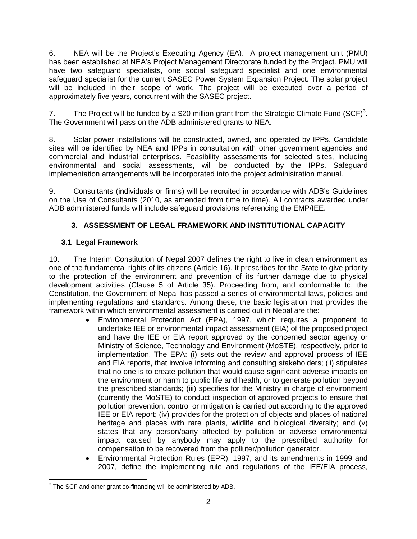6. NEA will be the Project's Executing Agency (EA). A project management unit (PMU) has been established at NEA's Project Management Directorate funded by the Project. PMU will have two safeguard specialists, one social safeguard specialist and one environmental safeguard specialist for the current SASEC Power System Expansion Project. The solar project will be included in their scope of work. The project will be executed over a period of approximately five years, concurrent with the SASEC project.

7. The Project will be funded by a \$20 million grant from the Strategic Climate Fund (SCF)<sup>3</sup>. The Government will pass on the ADB administered grants to NEA.

8. Solar power installations will be constructed, owned, and operated by IPPs. Candidate sites will be identified by NEA and IPPs in consultation with other government agencies and commercial and industrial enterprises. Feasibility assessments for selected sites, including environmental and social assessments, will be conducted by the IPPs. Safeguard implementation arrangements will be incorporated into the project administration manual.

9. Consultants (individuals or firms) will be recruited in accordance with ADB's Guidelines on the Use of Consultants (2010, as amended from time to time). All contracts awarded under ADB administered funds will include safeguard provisions referencing the EMP/IEE.

# **3. ASSESSMENT OF LEGAL FRAMEWORK AND INSTITUTIONAL CAPACITY**

# <span id="page-7-1"></span><span id="page-7-0"></span>**3.1 Legal Framework**

10. The Interim Constitution of Nepal 2007 defines the right to live in clean environment as one of the fundamental rights of its citizens (Article 16). It prescribes for the State to give priority to the protection of the environment and prevention of its further damage due to physical development activities (Clause 5 of Article 35). Proceeding from, and conformable to, the Constitution, the Government of Nepal has passed a series of environmental laws, policies and implementing regulations and standards. Among these, the basic legislation that provides the framework within which environmental assessment is carried out in Nepal are the:

- Environmental Protection Act (EPA), 1997, which requires a proponent to undertake IEE or environmental impact assessment (EIA) of the proposed project and have the IEE or EIA report approved by the concerned sector agency or Ministry of Science, Technology and Environment (MoSTE), respectively, prior to implementation. The EPA: (i) sets out the review and approval process of IEE and EIA reports, that involve informing and consulting stakeholders; (ii) stipulates that no one is to create pollution that would cause significant adverse impacts on the environment or harm to public life and health, or to generate pollution beyond the prescribed standards; (iii) specifies for the Ministry in charge of environment (currently the MoSTE) to conduct inspection of approved projects to ensure that pollution prevention, control or mitigation is carried out according to the approved IEE or EIA report; (iv) provides for the protection of objects and places of national heritage and places with rare plants, wildlife and biological diversity; and (v) states that any person/party affected by pollution or adverse environmental impact caused by anybody may apply to the prescribed authority for compensation to be recovered from the polluter/pollution generator.
- Environmental Protection Rules (EPR), 1997, and its amendments in 1999 and 2007, define the implementing rule and regulations of the IEE/EIA process,

The SCF and other grant co-financing will be administered by ADB.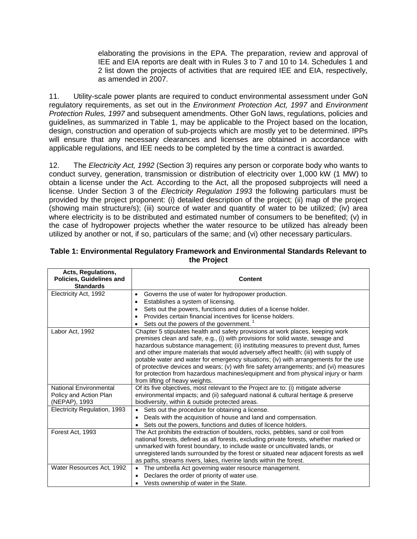elaborating the provisions in the EPA. The preparation, review and approval of IEE and EIA reports are dealt with in Rules 3 to 7 and 10 to 14. Schedules 1 and 2 list down the projects of activities that are required IEE and EIA, respectively, as amended in 2007.

11. Utility-scale power plants are required to conduct environmental assessment under GoN regulatory requirements, as set out in the *Environment Protection Act, 1997* and *Environment Protection Rules, 1997* and subsequent amendments. Other GoN laws, regulations, policies and guidelines, as summarized in Table 1, may be applicable to the Project based on the location, design, construction and operation of sub-projects which are mostly yet to be determined. IPPs will ensure that any necessary clearances and licenses are obtained in accordance with applicable regulations, and IEE needs to be completed by the time a contract is awarded.

12. The *Electricity Act, 1992* (Section 3) requires any person or corporate body who wants to conduct survey, generation, transmission or distribution of electricity over 1,000 kW (1 MW) to obtain a license under the Act. According to the Act, all the proposed subprojects will need a license. Under Section 3 of the *Electricity Regulation 1993* the following particulars must be provided by the project proponent: (i) detailed description of the project; (ii) map of the project (showing main structure/s); (iii) source of water and quantity of water to be utilized; (iv) area where electricity is to be distributed and estimated number of consumers to be benefited; (v) in the case of hydropower projects whether the water resource to be utilized has already been utilized by another or not, if so, particulars of the same; and (vi) other necessary particulars.

| Acts, Regulations,<br><b>Policies, Guidelines and</b><br><b>Standards</b> | <b>Content</b>                                                                                                                                                                                                                                                                                                                                                                                                                                                                                                                                                                                                                                      |
|---------------------------------------------------------------------------|-----------------------------------------------------------------------------------------------------------------------------------------------------------------------------------------------------------------------------------------------------------------------------------------------------------------------------------------------------------------------------------------------------------------------------------------------------------------------------------------------------------------------------------------------------------------------------------------------------------------------------------------------------|
| Electricity Act, 1992                                                     | Governs the use of water for hydropower production.<br>$\bullet$                                                                                                                                                                                                                                                                                                                                                                                                                                                                                                                                                                                    |
|                                                                           | Establishes a system of licensing.<br>$\bullet$                                                                                                                                                                                                                                                                                                                                                                                                                                                                                                                                                                                                     |
|                                                                           | Sets out the powers, functions and duties of a license holder.<br>٠                                                                                                                                                                                                                                                                                                                                                                                                                                                                                                                                                                                 |
|                                                                           | Provides certain financial incentives for license holders.<br>$\bullet$                                                                                                                                                                                                                                                                                                                                                                                                                                                                                                                                                                             |
|                                                                           | Sets out the powers of the government.                                                                                                                                                                                                                                                                                                                                                                                                                                                                                                                                                                                                              |
| Labor Act, 1992                                                           | Chapter 5 stipulates health and safety provisions at work places, keeping work<br>premises clean and safe, e.g., (i) with provisions for solid waste, sewage and<br>hazardous substance management; (ii) instituting measures to prevent dust, fumes<br>and other impure materials that would adversely affect health; (iii) with supply of<br>potable water and water for emergency situations; (iv) with arrangements for the use<br>of protective devices and wears; (v) with fire safety arrangements; and (vi) measures<br>for protection from hazardous machines/equipment and from physical injury or harm<br>from lifting of heavy weights. |
| National Environmental<br>Policy and Action Plan<br>(NEPAP), 1993         | Of its five objectives, most relevant to the Project are to: (i) mitigate adverse<br>environmental impacts; and (ii) safeguard national & cultural heritage & preserve<br>biodiversity, within & outside protected areas.                                                                                                                                                                                                                                                                                                                                                                                                                           |
| Electricity Regulation, 1993                                              | Sets out the procedure for obtaining a license.<br>$\bullet$                                                                                                                                                                                                                                                                                                                                                                                                                                                                                                                                                                                        |
|                                                                           | Deals with the acquisition of house and land and compensation.                                                                                                                                                                                                                                                                                                                                                                                                                                                                                                                                                                                      |
|                                                                           | Sets out the powers, functions and duties of licence holders.                                                                                                                                                                                                                                                                                                                                                                                                                                                                                                                                                                                       |
| Forest Act, 1993                                                          | The Act prohibits the extraction of boulders, rocks, pebbles, sand or coil from<br>national forests, defined as all forests, excluding private forests, whether marked or<br>unmarked with forest boundary, to include waste or uncultivated lands, or<br>unregistered lands surrounded by the forest or situated near adjacent forests as well<br>as paths, streams rivers, lakes, riverine lands within the forest.                                                                                                                                                                                                                               |
| Water Resources Act, 1992                                                 | The umbrella Act governing water resource management.                                                                                                                                                                                                                                                                                                                                                                                                                                                                                                                                                                                               |
|                                                                           | Declares the order of priority of water use.                                                                                                                                                                                                                                                                                                                                                                                                                                                                                                                                                                                                        |
|                                                                           | Vests ownership of water in the State.                                                                                                                                                                                                                                                                                                                                                                                                                                                                                                                                                                                                              |

#### <span id="page-8-0"></span>**Table 1: Environmental Regulatory Framework and Environmental Standards Relevant to the Project**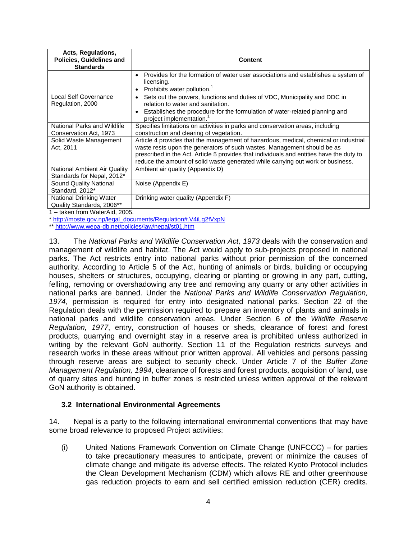| Acts, Regulations,<br><b>Policies, Guidelines and</b><br><b>Standards</b> | <b>Content</b>                                                                                                                                                                                                                                                                                                                                 |  |  |  |
|---------------------------------------------------------------------------|------------------------------------------------------------------------------------------------------------------------------------------------------------------------------------------------------------------------------------------------------------------------------------------------------------------------------------------------|--|--|--|
|                                                                           | Provides for the formation of water user associations and establishes a system of<br>licensing.<br>Prohibits water pollution. <sup>1</sup>                                                                                                                                                                                                     |  |  |  |
| Local Self Governance<br>Regulation, 2000                                 | Sets out the powers, functions and duties of VDC, Municipality and DDC in<br>$\bullet$<br>relation to water and sanitation.                                                                                                                                                                                                                    |  |  |  |
|                                                                           | Establishes the procedure for the formulation of water-related planning and<br>project implementation. <sup>1</sup>                                                                                                                                                                                                                            |  |  |  |
| National Parks and Wildlife<br>Conservation Act, 1973                     | Specifies limitations on activities in parks and conservation areas, including<br>construction and clearing of vegetation.                                                                                                                                                                                                                     |  |  |  |
| Solid Waste Management<br>Act, 2011                                       | Article 4 provides that the management of hazardous, medical, chemical or industrial<br>waste rests upon the generators of such wastes. Management should be as<br>prescribed in the Act. Article 5 provides that individuals and entities have the duty to<br>reduce the amount of solid waste generated while carrying out work or business. |  |  |  |
| National Ambient Air Quality<br>Standards for Nepal, 2012*                | Ambient air quality (Appendix D)                                                                                                                                                                                                                                                                                                               |  |  |  |
| Sound Quality National<br>Standard, 2012*                                 | Noise (Appendix E)                                                                                                                                                                                                                                                                                                                             |  |  |  |
| National Drinking Water<br>Quality Standards, 2006**                      | Drinking water quality (Appendix F)                                                                                                                                                                                                                                                                                                            |  |  |  |

1 – taken from WaterAid, 2005.

\* [http://moste.gov.np/legal\\_documents/Regulation#.V4iLg2fVxpN](http://moste.gov.np/legal_documents/Regulation#.V4iLg2fVxpN)

\*[\\* http://www.wepa-db.net/policies/law/nepal/st01.htm](http://www.wepa-db.net/policies/law/nepal/st01.htm)

13. The *National Parks and Wildlife Conservation Act, 1973* deals with the conservation and management of wildlife and habitat. The Act would apply to sub-projects proposed in national parks. The Act restricts entry into national parks without prior permission of the concerned authority. According to Article 5 of the Act, hunting of animals or birds, building or occupying houses, shelters or structures, occupying, clearing or planting or growing in any part, cutting, felling, removing or overshadowing any tree and removing any quarry or any other activities in national parks are banned. Under the *National Parks and Wildlife Conservation Regulation, 1974*, permission is required for entry into designated national parks. Section 22 of the Regulation deals with the permission required to prepare an inventory of plants and animals in national parks and wildlife conservation areas. Under Section 6 of the *Wildlife Reserve Regulation, 1977*, entry, construction of houses or sheds, clearance of forest and forest products, quarrying and overnight stay in a reserve area is prohibited unless authorized in writing by the relevant GoN authority. Section 11 of the Regulation restricts surveys and research works in these areas without prior written approval. All vehicles and persons passing through reserve areas are subject to security check. Under Article 7 of the *Buffer Zone Management Regulation, 1994*, clearance of forests and forest products, acquisition of land, use of quarry sites and hunting in buffer zones is restricted unless written approval of the relevant GoN authority is obtained.

#### <span id="page-9-0"></span>**3.2 International Environmental Agreements**

14. Nepal is a party to the following international environmental conventions that may have some broad relevance to proposed Project activities:

(i) United Nations Framework Convention on Climate Change (UNFCCC) – for parties to take precautionary measures to anticipate, prevent or minimize the causes of climate change and mitigate its adverse effects. The related Kyoto Protocol includes the Clean Development Mechanism (CDM) which allows RE and other greenhouse gas reduction projects to earn and sell certified emission reduction (CER) credits.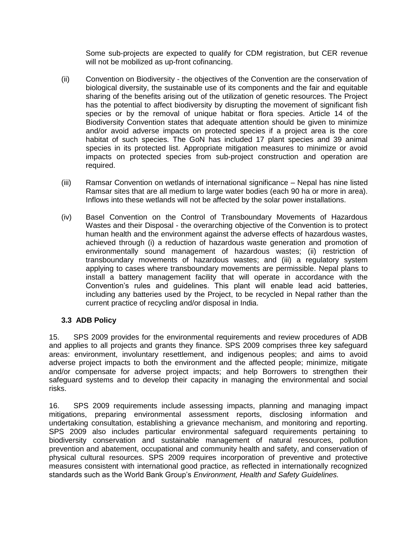Some sub-projects are expected to qualify for CDM registration, but CER revenue will not be mobilized as up-front cofinancing.

- (ii) Convention on Biodiversity the objectives of the Convention are the conservation of biological diversity, the sustainable use of its components and the fair and equitable sharing of the benefits arising out of the utilization of genetic resources. The Project has the potential to affect biodiversity by disrupting the movement of significant fish species or by the removal of unique habitat or flora species. Article 14 of the Biodiversity Convention states that adequate attention should be given to minimize and/or avoid adverse impacts on protected species if a project area is the core habitat of such species. The GoN has included 17 plant species and 39 animal species in its protected list. Appropriate mitigation measures to minimize or avoid impacts on protected species from sub-project construction and operation are required.
- (iii) Ramsar Convention on wetlands of international significance Nepal has nine listed Ramsar sites that are all medium to large water bodies (each 90 ha or more in area). Inflows into these wetlands will not be affected by the solar power installations.
- (iv) Basel Convention on the Control of Transboundary Movements of Hazardous Wastes and their Disposal - the overarching objective of the Convention is to protect human health and the environment against the adverse effects of hazardous wastes, achieved through (i) a reduction of hazardous waste generation and promotion of environmentally sound management of hazardous wastes; (ii) restriction of transboundary movements of hazardous wastes; and (iii) a regulatory system applying to cases where transboundary movements are permissible. Nepal plans to install a battery management facility that will operate in accordance with the Convention's rules and guidelines. This plant will enable lead acid batteries, including any batteries used by the Project, to be recycled in Nepal rather than the current practice of recycling and/or disposal in India.

# <span id="page-10-0"></span>**3.3 ADB Policy**

15. SPS 2009 provides for the environmental requirements and review procedures of ADB and applies to all projects and grants they finance. SPS 2009 comprises three key safeguard areas: environment, involuntary resettlement, and indigenous peoples; and aims to avoid adverse project impacts to both the environment and the affected people; minimize, mitigate and/or compensate for adverse project impacts; and help Borrowers to strengthen their safeguard systems and to develop their capacity in managing the environmental and social risks.

16. SPS 2009 requirements include assessing impacts, planning and managing impact mitigations, preparing environmental assessment reports, disclosing information and undertaking consultation, establishing a grievance mechanism, and monitoring and reporting. SPS 2009 also includes particular environmental safeguard requirements pertaining to biodiversity conservation and sustainable management of natural resources, pollution prevention and abatement, occupational and community health and safety, and conservation of physical cultural resources. SPS 2009 requires incorporation of preventive and protective measures consistent with international good practice, as reflected in internationally recognized standards such as the World Bank Group's *Environment, Health and Safety Guidelines.*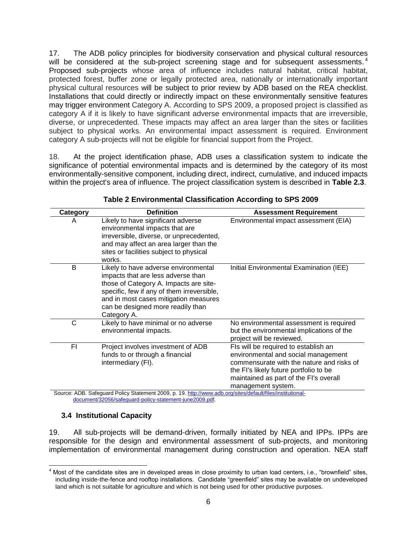17. The ADB policy principles for biodiversity conservation and physical cultural resources will be considered at the sub-project screening stage and for subsequent assessments.<sup>4</sup> Proposed sub-projects whose area of influence includes natural habitat, critical habitat, protected forest, buffer zone or legally protected area, nationally or internationally important physical cultural resources will be subject to prior review by ADB based on the REA checklist. Installations that could directly or indirectly impact on these environmentally sensitive features may trigger environment Category A. According to SPS 2009, a proposed project is classified as category A if it is likely to have significant adverse environmental impacts that are irreversible, diverse, or unprecedented. These impacts may affect an area larger than the sites or facilities subject to physical works. An environmental impact assessment is required. Environment category A sub-projects will not be eligible for financial support from the Project.

18. At the project identification phase, ADB uses a classification system to indicate the significance of potential environmental impacts and is determined by the category of its most environmentally-sensitive component, including direct, indirect, cumulative, and induced impacts within the project's area of influence. The project classification system is described in **Table 2.3**.

|                                                                                                            | <b>Definition</b>                                                                                                                                                                                                                                               |                                                                                                                                                                                                                                    |  |  |
|------------------------------------------------------------------------------------------------------------|-----------------------------------------------------------------------------------------------------------------------------------------------------------------------------------------------------------------------------------------------------------------|------------------------------------------------------------------------------------------------------------------------------------------------------------------------------------------------------------------------------------|--|--|
| <b>Category</b>                                                                                            |                                                                                                                                                                                                                                                                 | <b>Assessment Requirement</b>                                                                                                                                                                                                      |  |  |
| A                                                                                                          | Likely to have significant adverse<br>environmental impacts that are<br>irreversible, diverse, or unprecedented,<br>and may affect an area larger than the<br>sites or facilities subject to physical<br>works.                                                 | Environmental impact assessment (EIA)                                                                                                                                                                                              |  |  |
| B                                                                                                          | Likely to have adverse environmental<br>impacts that are less adverse than<br>those of Category A. Impacts are site-<br>specific, few if any of them irreversible,<br>and in most cases mitigation measures<br>can be designed more readily than<br>Category A. | Initial Environmental Examination (IEE)                                                                                                                                                                                            |  |  |
| C                                                                                                          | Likely to have minimal or no adverse<br>environmental impacts.                                                                                                                                                                                                  | No environmental assessment is required<br>but the environmental implications of the<br>project will be reviewed.                                                                                                                  |  |  |
| FI                                                                                                         | Project involves investment of ADB<br>funds to or through a financial<br>intermediary (FI).                                                                                                                                                                     | Fls will be required to establish an<br>environmental and social management<br>commensurate with the nature and risks of<br>the FI's likely future portfolio to be<br>maintained as part of the FI's overall<br>management system. |  |  |
| Source: ADB. Safeguard Policy Statement 2009, p. 19. http://www.adb.org/sites/default/files/institutional- |                                                                                                                                                                                                                                                                 |                                                                                                                                                                                                                                    |  |  |

#### **Table 2 Environmental Classification According to SPS 2009**

Source: ADB. Safeguard Policy Statement 2009, p. 19[. http://www.adb.org/sites/default/files/institutional](http://www.adb.org/sites/default/files/institutional-document/32056/safeguard-policy-statement-june2009.pdf)[document/32056/safeguard-policy-statement-june2009.pdf.](http://www.adb.org/sites/default/files/institutional-document/32056/safeguard-policy-statement-june2009.pdf) 

### <span id="page-11-0"></span>**3.4 Institutional Capacity**

19. All sub-projects will be demand-driven, formally initiated by NEA and IPPs. IPPs are responsible for the design and environmental assessment of sub-projects, and monitoring implementation of environmental management during construction and operation. NEA staff

  $4$  Most of the candidate sites are in developed areas in close proximity to urban load centers, i.e., "brownfield" sites, including inside-the-fence and rooftop installations. Candidate "greenfield" sites may be available on undeveloped land which is not suitable for agriculture and which is not being used for other productive purposes.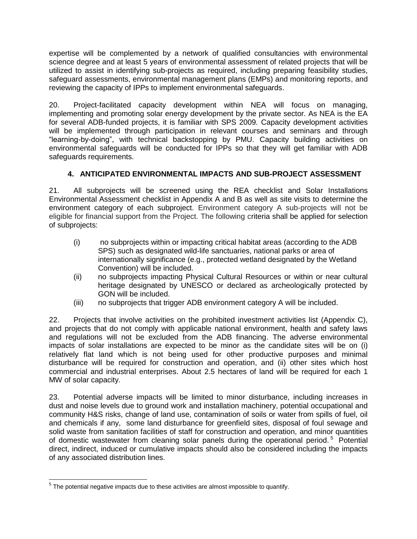expertise will be complemented by a network of qualified consultancies with environmental science degree and at least 5 years of environmental assessment of related projects that will be utilized to assist in identifying sub-projects as required, including preparing feasibility studies, safeguard assessments, environmental management plans (EMPs) and monitoring reports, and reviewing the capacity of IPPs to implement environmental safeguards.

20. Project-facilitated capacity development within NEA will focus on managing, implementing and promoting solar energy development by the private sector. As NEA is the EA for several ADB-funded projects, it is familiar with SPS 2009. Capacity development activities will be implemented through participation in relevant courses and seminars and through "learning-by-doing", with technical backstopping by PMU. Capacity building activities on environmental safeguards will be conducted for IPPs so that they will get familiar with ADB safeguards requirements.

# **4. ANTICIPATED ENVIRONMENTAL IMPACTS AND SUB-PROJECT ASSESSMENT**

<span id="page-12-0"></span>21. All subprojects will be screened using the REA checklist and Solar Installations Environmental Assessment checklist in Appendix A and B as well as site visits to determine the environment category of each subproject. Environment category A sub-projects will not be eligible for financial support from the Project. The following criteria shall be applied for selection of subprojects:

- (i) no subprojects within or impacting critical habitat areas (according to the ADB SPS) such as designated wild-life sanctuaries, national parks or area of internationally significance (e.g., protected wetland designated by the Wetland Convention) will be included.
- (ii) no subprojects impacting Physical Cultural Resources or within or near cultural heritage designated by UNESCO or declared as archeologically protected by GON will be included.
- (iii) no subprojects that trigger ADB environment category A will be included.

22. Projects that involve activities on the prohibited investment activities list (Appendix C), and projects that do not comply with applicable national environment, health and safety laws and regulations will not be excluded from the ADB financing. The adverse environmental impacts of solar installations are expected to be minor as the candidate sites will be on (i) relatively flat land which is not being used for other productive purposes and minimal disturbance will be required for construction and operation, and (ii) other sites which host commercial and industrial enterprises. About 2.5 hectares of land will be required for each 1 MW of solar capacity.

23. Potential adverse impacts will be limited to minor disturbance, including increases in dust and noise levels due to ground work and installation machinery, potential occupational and community H&S risks, change of land use, contamination of soils or water from spills of fuel, oil and chemicals if any, some land disturbance for greenfield sites, disposal of foul sewage and solid waste from sanitation facilities of staff for construction and operation, and minor quantities of domestic wastewater from cleaning solar panels during the operational period.<sup>5</sup> Potential direct, indirect, induced or cumulative impacts should also be considered including the impacts of any associated distribution lines.

<sup>————————————————————&</sup>lt;br><sup>5</sup> The potential negative impacts due to these activities are almost impossible to quantify.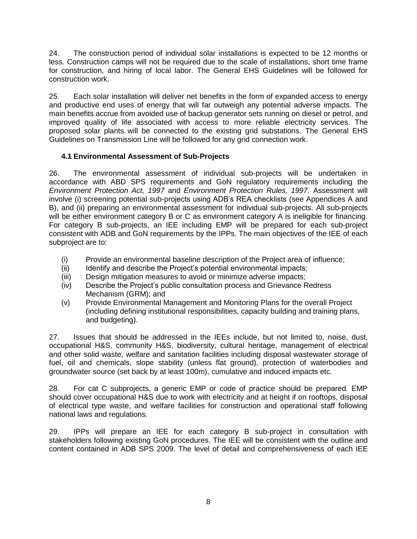24. The construction period of individual solar installations is expected to be 12 months or less. Construction camps will not be required due to the scale of installations, short time frame for construction, and hiring of local labor. The General EHS Guidelines will be followed for construction work.

25. Each solar installation will deliver net benefits in the form of expanded access to energy and productive end uses of energy that will far outweigh any potential adverse impacts. The main benefits accrue from avoided use of backup generator sets running on diesel or petrol, and improved quality of life associated with access to more reliable electricity services. The proposed solar plants will be connected to the existing grid substations. The General EHS Guidelines on Transmission Line will be followed for any grid connection work.

# <span id="page-13-0"></span>**4.1 Environmental Assessment of Sub-Projects**

26. The environmental assessment of individual sub-projects will be undertaken in accordance with ABD SPS requirements and GoN regulatory requirements including the *Environment Protection Act, 1997* and *Environment Protection Rules, 1997*. Assessment will involve (i) screening potential sub-projects using ADB's REA checklists (see Appendices A and B), and (ii) preparing an environmental assessment for individual sub-projects. All sub-projects will be either environment category B or C as environment category A is ineligible for financing. For category B sub-projects, an IEE including EMP will be prepared for each sub-project consistent with ADB and GoN requirements by the IPPs. The main objectives of the IEE of each subproject are to:

- (i) Provide an environmental baseline description of the Project area of influence;
- (ii) Identify and describe the Project's potential environmental impacts;
- (iii) Design mitigation measures to avoid or minimize adverse impacts;
- (iv) Describe the Project's public consultation process and Grievance Redress Mechanism (GRM); and
- (v) Provide Environmental Management and Monitoring Plans for the overall Project (including defining institutional responsibilities, capacity building and training plans, and budgeting).

27. Issues that should be addressed in the IEEs include, but not limited to, noise, dust, occupational H&S, community H&S, biodiversity, cultural heritage, management of electrical and other solid waste, welfare and sanitation facilities including disposal wastewater storage of fuel, oil and chemicals, slope stability (unless flat ground), protection of waterbodies and groundwater source (set back by at least 100m), cumulative and induced impacts etc.

28. For cat C subprojects, a generic EMP or code of practice should be prepared. EMP should cover occupational H&S due to work with electricity and at height if on rooftops, disposal of electrical type waste, and welfare facilities for construction and operational staff following national laws and regulations.

29. IPPs will prepare an IEE for each category B sub-project in consultation with stakeholders following existing GoN procedures. The IEE will be consistent with the outline and content contained in ADB SPS 2009. The level of detail and comprehensiveness of each IEE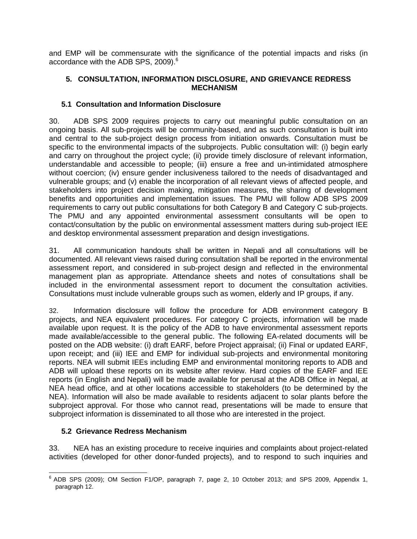and EMP will be commensurate with the significance of the potential impacts and risks (in accordance with the ADB SPS, 2009). $^6$ 

### <span id="page-14-0"></span>**5. CONSULTATION, INFORMATION DISCLOSURE, AND GRIEVANCE REDRESS MECHANISM**

# <span id="page-14-1"></span>**5.1 Consultation and Information Disclosure**

30. ADB SPS 2009 requires projects to carry out meaningful public consultation on an ongoing basis. All sub-projects will be community-based, and as such consultation is built into and central to the sub-project design process from initiation onwards. Consultation must be specific to the environmental impacts of the subprojects. Public consultation will: (i) begin early and carry on throughout the project cycle; (ii) provide timely disclosure of relevant information, understandable and accessible to people; (iii) ensure a free and un-intimidated atmosphere without coercion; (iv) ensure gender inclusiveness tailored to the needs of disadvantaged and vulnerable groups; and (v) enable the incorporation of all relevant views of affected people, and stakeholders into project decision making, mitigation measures, the sharing of development benefits and opportunities and implementation issues. The PMU will follow ADB SPS 2009 requirements to carry out public consultations for both Category B and Category C sub-projects. The PMU and any appointed environmental assessment consultants will be open to contact/consultation by the public on environmental assessment matters during sub-project IEE and desktop environmental assessment preparation and design investigations.

31. All communication handouts shall be written in Nepali and all consultations will be documented. All relevant views raised during consultation shall be reported in the environmental assessment report, and considered in sub-project design and reflected in the environmental management plan as appropriate. Attendance sheets and notes of consultations shall be included in the environmental assessment report to document the consultation activities. Consultations must include vulnerable groups such as women, elderly and IP groups, if any.

32. Information disclosure will follow the procedure for ADB environment category B projects, and NEA equivalent procedures. For category C projects, information will be made available upon request. It is the policy of the ADB to have environmental assessment reports made available/accessible to the general public. The following EA-related documents will be posted on the ADB website: (i) draft EARF, before Project appraisal; (ii) Final or updated EARF, upon receipt; and (iii) IEE and EMP for individual sub-projects and environmental monitoring reports. NEA will submit IEEs including EMP and environmental monitoring reports to ADB and ADB will upload these reports on its website after review. Hard copies of the EARF and IEE reports (in English and Nepali) will be made available for perusal at the ADB Office in Nepal, at NEA head office, and at other locations accessible to stakeholders (to be determined by the NEA). Information will also be made available to residents adjacent to solar plants before the subproject approval. For those who cannot read, presentations will be made to ensure that subproject information is disseminated to all those who are interested in the project.

### <span id="page-14-2"></span>**5.2 Grievance Redress Mechanism**

33. NEA has an existing procedure to receive inquiries and complaints about project-related activities (developed for other donor-funded projects), and to respond to such inquiries and

enties and the mattem of the mattem of the mattem of the mattem of the mattem of the speed of the SPS 2009, Appendix 1, the SPS 2009, Appendix 1, paragraph 12.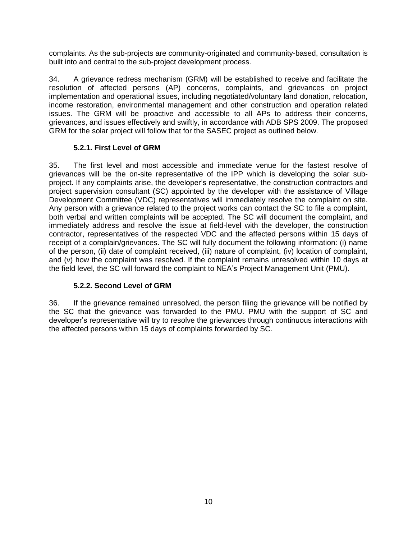complaints. As the sub-projects are community-originated and community-based, consultation is built into and central to the sub-project development process.

34. A grievance redress mechanism (GRM) will be established to receive and facilitate the resolution of affected persons (AP) concerns, complaints, and grievances on project implementation and operational issues, including negotiated/voluntary land donation, relocation, income restoration, environmental management and other construction and operation related issues. The GRM will be proactive and accessible to all APs to address their concerns, grievances, and issues effectively and swiftly, in accordance with ADB SPS 2009. The proposed GRM for the solar project will follow that for the SASEC project as outlined below.

# **5.2.1. First Level of GRM**

35. The first level and most accessible and immediate venue for the fastest resolve of grievances will be the on-site representative of the IPP which is developing the solar subproject. If any complaints arise, the developer's representative, the construction contractors and project supervision consultant (SC) appointed by the developer with the assistance of Village Development Committee (VDC) representatives will immediately resolve the complaint on site. Any person with a grievance related to the project works can contact the SC to file a complaint, both verbal and written complaints will be accepted. The SC will document the complaint, and immediately address and resolve the issue at field-level with the developer, the construction contractor, representatives of the respected VDC and the affected persons within 15 days of receipt of a complain/grievances. The SC will fully document the following information: (i) name of the person, (ii) date of complaint received, (iii) nature of complaint, (iv) location of complaint, and (v) how the complaint was resolved. If the complaint remains unresolved within 10 days at the field level, the SC will forward the complaint to NEA's Project Management Unit (PMU).

# **5.2.2. Second Level of GRM**

36. If the grievance remained unresolved, the person filing the grievance will be notified by the SC that the grievance was forwarded to the PMU. PMU with the support of SC and developer's representative will try to resolve the grievances through continuous interactions with the affected persons within 15 days of complaints forwarded by SC.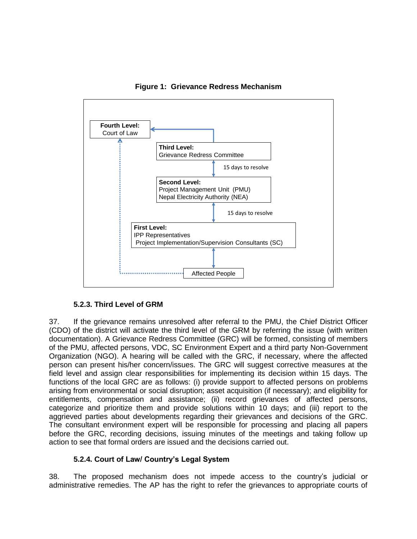

**Figure 1: Grievance Redress Mechanism**

### **5.2.3. Third Level of GRM**

37. If the grievance remains unresolved after referral to the PMU, the Chief District Officer (CDO) of the district will activate the third level of the GRM by referring the issue (with written documentation). A Grievance Redress Committee (GRC) will be formed, consisting of members of the PMU, affected persons, VDC, SC Environment Expert and a third party Non-Government Organization (NGO). A hearing will be called with the GRC, if necessary, where the affected person can present his/her concern/issues. The GRC will suggest corrective measures at the field level and assign clear responsibilities for implementing its decision within 15 days. The functions of the local GRC are as follows: (i) provide support to affected persons on problems arising from environmental or social disruption; asset acquisition (if necessary); and eligibility for entitlements, compensation and assistance; (ii) record grievances of affected persons, categorize and prioritize them and provide solutions within 10 days; and (iii) report to the aggrieved parties about developments regarding their grievances and decisions of the GRC. The consultant environment expert will be responsible for processing and placing all papers before the GRC, recording decisions, issuing minutes of the meetings and taking follow up action to see that formal orders are issued and the decisions carried out.

### **5.2.4. Court of Law/ Country's Legal System**

38. The proposed mechanism does not impede access to the country's judicial or administrative remedies. The AP has the right to refer the grievances to appropriate courts of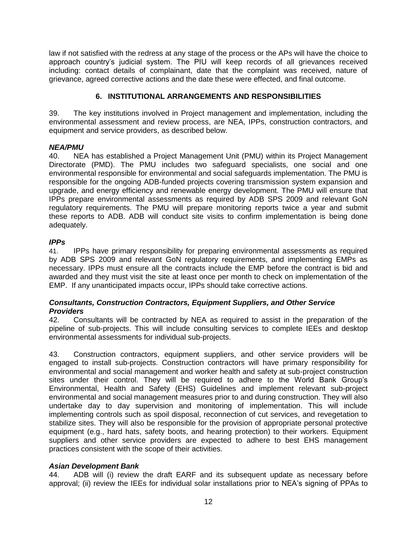law if not satisfied with the redress at any stage of the process or the APs will have the choice to approach country's judicial system. The PIU will keep records of all grievances received including: contact details of complainant, date that the complaint was received, nature of grievance, agreed corrective actions and the date these were effected, and final outcome.

# **6. INSTITUTIONAL ARRANGEMENTS AND RESPONSIBILITIES**

<span id="page-17-0"></span>39. The key institutions involved in Project management and implementation, including the environmental assessment and review process, are NEA, IPPs, construction contractors, and equipment and service providers, as described below.

# *NEA/PMU*

40. NEA has established a Project Management Unit (PMU) within its Project Management Directorate (PMD). The PMU includes two safeguard specialists, one social and one environmental responsible for environmental and social safeguards implementation. The PMU is responsible for the ongoing ADB-funded projects covering transmission system expansion and upgrade, and energy efficiency and renewable energy development. The PMU will ensure that IPPs prepare environmental assessments as required by ADB SPS 2009 and relevant GoN regulatory requirements. The PMU will prepare monitoring reports twice a year and submit these reports to ADB. ADB will conduct site visits to confirm implementation is being done adequately.

# *IPPs*

41. IPPs have primary responsibility for preparing environmental assessments as required by ADB SPS 2009 and relevant GoN regulatory requirements, and implementing EMPs as necessary. IPPs must ensure all the contracts include the EMP before the contract is bid and awarded and they must visit the site at least once per month to check on implementation of the EMP. If any unanticipated impacts occur, IPPs should take corrective actions.

### *Consultants, Construction Contractors, Equipment Suppliers, and Other Service Providers*

42. Consultants will be contracted by NEA as required to assist in the preparation of the pipeline of sub-projects. This will include consulting services to complete IEEs and desktop environmental assessments for individual sub-projects.

43. Construction contractors, equipment suppliers, and other service providers will be engaged to install sub-projects. Construction contractors will have primary responsibility for environmental and social management and worker health and safety at sub-project construction sites under their control. They will be required to adhere to the World Bank Group's Environmental, Health and Safety (EHS) Guidelines and implement relevant sub-project environmental and social management measures prior to and during construction. They will also undertake day to day supervision and monitoring of implementation. This will include implementing controls such as spoil disposal, reconnection of cut services, and revegetation to stabilize sites. They will also be responsible for the provision of appropriate personal protective equipment (e.g., hard hats, safety boots, and hearing protection) to their workers. Equipment suppliers and other service providers are expected to adhere to best EHS management practices consistent with the scope of their activities.

# *Asian Development Bank*

44. ADB will (i) review the draft EARF and its subsequent update as necessary before approval; (ii) review the IEEs for individual solar installations prior to NEA's signing of PPAs to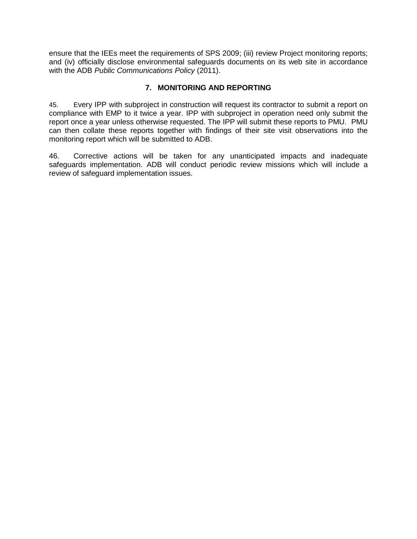ensure that the IEEs meet the requirements of SPS 2009; (iii) review Project monitoring reports; and (iv) officially disclose environmental safeguards documents on its web site in accordance with the ADB *Public Communications Policy* (2011).

# **7. MONITORING AND REPORTING**

<span id="page-18-0"></span>45. Every IPP with subproject in construction will request its contractor to submit a report on compliance with EMP to it twice a year. IPP with subproject in operation need only submit the report once a year unless otherwise requested. The IPP will submit these reports to PMU. PMU can then collate these reports together with findings of their site visit observations into the monitoring report which will be submitted to ADB.

46. Corrective actions will be taken for any unanticipated impacts and inadequate safeguards implementation. ADB will conduct periodic review missions which will include a review of safeguard implementation issues.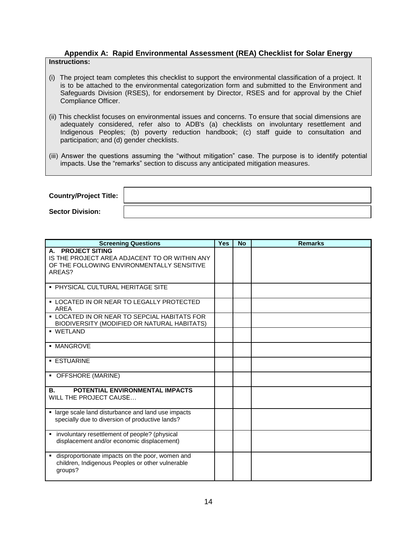#### **Appendix A: Rapid Environmental Assessment (REA) Checklist for Solar Energy Instructions:**

- (i) The project team completes this checklist to support the environmental classification of a project. It is to be attached to the environmental categorization form and submitted to the Environment and Safeguards Division (RSES), for endorsement by Director, RSES and for approval by the Chief Compliance Officer.
- (ii) This checklist focuses on environmental issues and concerns. To ensure that social dimensions are adequately considered, refer also to ADB's (a) checklists on involuntary resettlement and Indigenous Peoples; (b) poverty reduction handbook; (c) staff guide to consultation and participation; and (d) gender checklists.
- (iii) Answer the questions assuming the "without mitigation" case. The purpose is to identify potential impacts. Use the "remarks" section to discuss any anticipated mitigation measures.

| <b>Country/Project Title:</b> |  |
|-------------------------------|--|
| <b>Sector Division:</b>       |  |

| <b>Screening Questions</b>                                                                                                           | <b>Yes</b> | <b>No</b> | <b>Remarks</b> |
|--------------------------------------------------------------------------------------------------------------------------------------|------------|-----------|----------------|
| <b>PROJECT SITING</b><br>А.<br>IS THE PROJECT AREA ADJACENT TO OR WITHIN ANY<br>OF THE FOLLOWING ENVIRONMENTALLY SENSITIVE<br>AREAS? |            |           |                |
| • PHYSICAL CULTURAL HERITAGE SITE                                                                                                    |            |           |                |
| <b>• LOCATED IN OR NEAR TO LEGALLY PROTECTED</b><br>AREA                                                                             |            |           |                |
| <b>• LOCATED IN OR NEAR TO SEPCIAL HABITATS FOR</b><br>BIODIVERSITY (MODIFIED OR NATURAL HABITATS)                                   |            |           |                |
| · WETLAND                                                                                                                            |            |           |                |
| · MANGROVE                                                                                                                           |            |           |                |
| <b>ESTUARINE</b>                                                                                                                     |            |           |                |
| • OFFSHORE (MARINE)                                                                                                                  |            |           |                |
| POTENTIAL ENVIRONMENTAL IMPACTS<br>В.<br>WILL THE PROJECT CAUSE                                                                      |            |           |                |
| · large scale land disturbance and land use impacts<br>specially due to diversion of productive lands?                               |            |           |                |
| involuntary resettlement of people? (physical<br>٠<br>displacement and/or economic displacement)                                     |            |           |                |
| disproportionate impacts on the poor, women and<br>children, Indigenous Peoples or other vulnerable<br>groups?                       |            |           |                |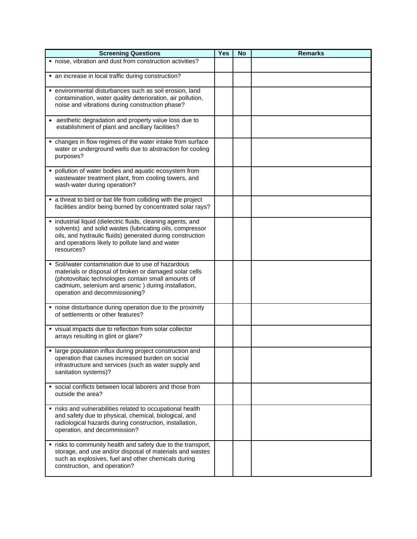| <b>Screening Questions</b>                                                                                                                                                                                                                                   | <b>Yes</b> | <b>No</b> | <b>Remarks</b> |
|--------------------------------------------------------------------------------------------------------------------------------------------------------------------------------------------------------------------------------------------------------------|------------|-----------|----------------|
| " noise, vibration and dust from construction activities?                                                                                                                                                                                                    |            |           |                |
| • an increase in local traffic during construction?                                                                                                                                                                                                          |            |           |                |
| · environmental disturbances such as soil erosion, land<br>contamination, water quality deterioration, air pollution,<br>noise and vibrations during construction phase?                                                                                     |            |           |                |
| • aesthetic degradation and property value loss due to<br>establishment of plant and ancillary facilities?                                                                                                                                                   |            |           |                |
| • changes in flow regimes of the water intake from surface<br>water or underground wells due to abstraction for cooling<br>purposes?                                                                                                                         |            |           |                |
| pollution of water bodies and aquatic ecosystem from<br>wastewater treatment plant, from cooling towers, and<br>wash-water during operation?                                                                                                                 |            |           |                |
| • a threat to bird or bat life from colliding with the project<br>facilities and/or being burned by concentrated solar rays?                                                                                                                                 |            |           |                |
| · industrial liquid (dielectric fluids, cleaning agents, and<br>solvents) and solid wastes (lubricating oils, compressor<br>oils, and hydraulic fluids) generated during construction<br>and operations likely to pollute land and water<br>resources?       |            |           |                |
| • Soil/water contamination due to use of hazardous<br>materials or disposal of broken or damaged solar cells<br>(photovoltaic technologies contain small amounts of<br>cadmium, selenium and arsenic) during installation,<br>operation and decommissioning? |            |           |                |
| • noise disturbance during operation due to the proximity<br>of settlements or other features?                                                                                                                                                               |            |           |                |
| • visual impacts due to reflection from solar collector<br>arrays resulting in glint or glare?                                                                                                                                                               |            |           |                |
| large population influx during project construction and<br>٠<br>operation that causes increased burden on social<br>infrastructure and services (such as water supply and<br>sanitation systems)?                                                            |            |           |                |
| • social conflicts between local laborers and those from<br>outside the area?                                                                                                                                                                                |            |           |                |
| " risks and vulnerabilities related to occupational health<br>and safety due to physical, chemical, biological, and<br>radiological hazards during construction, installation,<br>operation, and decommission?                                               |            |           |                |
| " risks to community health and safety due to the transport,<br>storage, and use and/or disposal of materials and wastes<br>such as explosives, fuel and other chemicals during<br>construction, and operation?                                              |            |           |                |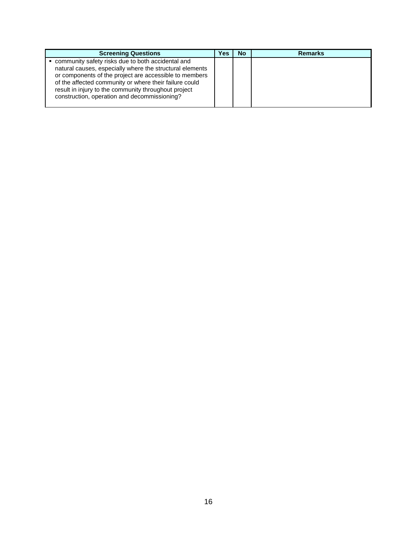| <b>Screening Questions</b>                                                                                                                                                                                                                                                                                                                | Yes | No. | <b>Remarks</b> |
|-------------------------------------------------------------------------------------------------------------------------------------------------------------------------------------------------------------------------------------------------------------------------------------------------------------------------------------------|-----|-----|----------------|
| community safety risks due to both accidental and<br>natural causes, especially where the structural elements<br>or components of the project are accessible to members<br>of the affected community or where their failure could<br>result in injury to the community throughout project<br>construction, operation and decommissioning? |     |     |                |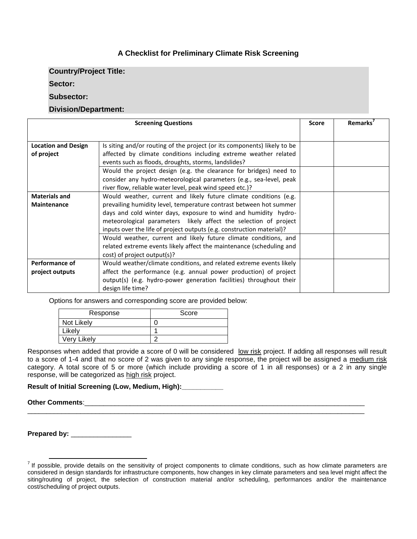# **A Checklist for Preliminary Climate Risk Screening**

**Country/Project Title:**

**Sector:**

#### **Subsector:**

#### **Division/Department:**

| <b>Screening Questions</b> |                                                                          |  | <b>Remarks</b> |
|----------------------------|--------------------------------------------------------------------------|--|----------------|
|                            |                                                                          |  |                |
| <b>Location and Design</b> | Is siting and/or routing of the project (or its components) likely to be |  |                |
| of project                 | affected by climate conditions including extreme weather related         |  |                |
|                            | events such as floods, droughts, storms, landslides?                     |  |                |
|                            | Would the project design (e.g. the clearance for bridges) need to        |  |                |
|                            | consider any hydro-meteorological parameters (e.g., sea-level, peak      |  |                |
|                            | river flow, reliable water level, peak wind speed etc.)?                 |  |                |
| <b>Materials and</b>       | Would weather, current and likely future climate conditions (e.g.        |  |                |
| <b>Maintenance</b>         | prevailing humidity level, temperature contrast between hot summer       |  |                |
|                            | days and cold winter days, exposure to wind and humidity hydro-          |  |                |
|                            | meteorological parameters likely affect the selection of project         |  |                |
|                            | inputs over the life of project outputs (e.g. construction material)?    |  |                |
|                            | Would weather, current and likely future climate conditions, and         |  |                |
|                            | related extreme events likely affect the maintenance (scheduling and     |  |                |
|                            | cost) of project output(s)?                                              |  |                |
| Performance of             | Would weather/climate conditions, and related extreme events likely      |  |                |
| project outputs            | affect the performance (e.g. annual power production) of project         |  |                |
|                            | output(s) (e.g. hydro-power generation facilities) throughout their      |  |                |
|                            | design life time?                                                        |  |                |

Options for answers and corresponding score are provided below:

| Response    | Score |
|-------------|-------|
| Not Likely  |       |
| Likely      |       |
| Very Likely |       |

Responses when added that provide a score of 0 will be considered low risk project. If adding all responses will result to a score of 1-4 and that no score of 2 was given to any single response, the project will be assigned a medium risk category. A total score of 5 or more (which include providing a score of 1 in all responses) or a 2 in any single response, will be categorized as high risk project.

\_\_\_\_\_\_\_\_\_\_\_\_\_\_\_\_\_\_\_\_\_\_\_\_\_\_\_\_\_\_\_\_\_\_\_\_\_\_\_\_\_\_\_\_\_\_\_\_\_\_\_\_\_\_\_\_\_\_\_\_\_\_\_\_\_\_\_\_\_\_\_\_\_\_\_\_\_\_\_\_\_\_\_\_\_\_\_\_\_

**Result of Initial Screening (Low, Medium, High):** 

**Other Comments**:\_\_\_\_\_\_\_\_\_\_\_\_\_\_\_\_\_\_\_\_\_\_\_\_\_\_\_\_\_\_\_\_\_\_\_\_\_\_\_\_\_\_\_\_\_\_\_\_\_\_\_\_\_\_\_\_\_\_\_\_\_\_\_\_\_\_\_\_\_\_\_\_\_\_

**Prepared by:** \_\_\_\_\_\_\_\_\_\_\_\_\_\_\_\_

Tum and the sensible, provide details on the sensitivity of project components to climate conditions, such as how climate parameters are considered in design standards for infrastructure components, how changes in key climate parameters and sea level might affect the siting/routing of project, the selection of construction material and/or scheduling, performances and/or the maintenance cost/scheduling of project outputs.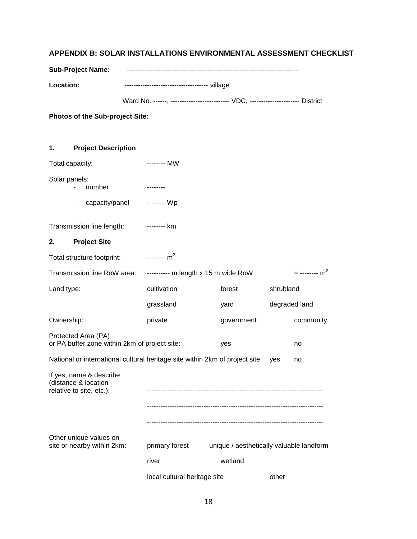# <span id="page-23-0"></span>**APPENDIX B: SOLAR INSTALLATIONS ENVIRONMENTAL ASSESSMENT CHECKLIST**

| <b>Sub-Project Name:</b> |  |
|--------------------------|--|
|                          |  |

**Location:** ------------------------------------- village

Ward No. ------, --------------------------- VDC, ---------------------- District

**Photos of the Sub-project Site:**

| 1.                                                                          | <b>Project Description</b>                                                   |                                   |                                          |               |                             |
|-----------------------------------------------------------------------------|------------------------------------------------------------------------------|-----------------------------------|------------------------------------------|---------------|-----------------------------|
|                                                                             | Total capacity:                                                              | -------- MW                       |                                          |               |                             |
| Solar panels:                                                               | number                                                                       | --------                          |                                          |               |                             |
|                                                                             | capacity/panel -------- Wp                                                   |                                   |                                          |               |                             |
|                                                                             | Transmission line length:                                                    | -------- km                       |                                          |               |                             |
| 2.                                                                          | <b>Project Site</b>                                                          |                                   |                                          |               |                             |
|                                                                             | Total structure footprint: --------- m <sup>2</sup>                          |                                   |                                          |               |                             |
|                                                                             | Transmission line RoW area:                                                  | $------$ m length x 15 m wide RoW |                                          |               | $=$ -------- m <sup>2</sup> |
| Land type:                                                                  |                                                                              | cultivation                       | forest                                   | shrubland     |                             |
|                                                                             |                                                                              | grassland                         | yard                                     | degraded land |                             |
| Ownership:                                                                  |                                                                              | private                           | government                               |               | community                   |
|                                                                             | Protected Area (PA)<br>or PA buffer zone within 2km of project site:         |                                   | yes                                      |               | no                          |
|                                                                             | National or international cultural heritage site within 2km of project site: |                                   |                                          | yes           | no                          |
| If yes, name & describe<br>(distance & location<br>relative to site, etc.): |                                                                              |                                   |                                          |               |                             |
|                                                                             |                                                                              |                                   |                                          |               |                             |
|                                                                             |                                                                              |                                   |                                          |               |                             |
|                                                                             | Other unique values on<br>site or nearby within 2km:                         | primary forest                    | unique / aesthetically valuable landform |               |                             |
|                                                                             |                                                                              | river                             | wetland                                  |               |                             |
|                                                                             |                                                                              | local cultural heritage site      |                                          | other         |                             |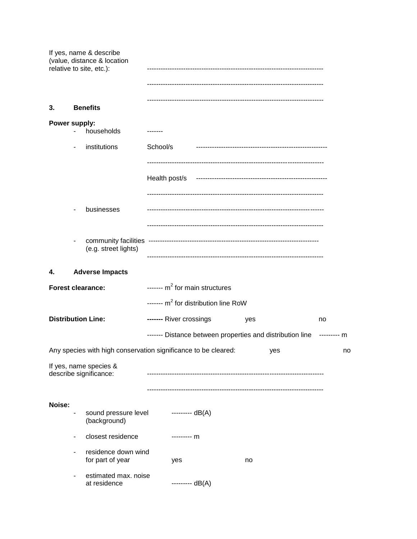|               |   | If yes, name & describe<br>(value, distance & location<br>relative to site, etc.): |               |                                                           |     |     |                  |
|---------------|---|------------------------------------------------------------------------------------|---------------|-----------------------------------------------------------|-----|-----|------------------|
| 3.            |   | <b>Benefits</b>                                                                    |               |                                                           |     |     |                  |
| Power supply: |   | households                                                                         |               |                                                           |     |     |                  |
|               |   | institutions                                                                       | School/s      |                                                           |     |     |                  |
|               |   |                                                                                    | Health post/s |                                                           |     |     |                  |
|               |   | businesses                                                                         |               |                                                           |     |     |                  |
|               |   | (e.g. street lights)                                                               |               |                                                           |     |     |                  |
| 4.            |   | <b>Adverse Impacts</b>                                                             |               |                                                           |     |     |                  |
|               |   | <b>Forest clearance:</b>                                                           |               | ------- $m^2$ for main structures                         |     |     |                  |
|               |   |                                                                                    |               | ------- $m^2$ for distribution line RoW                   |     |     |                  |
|               |   | <b>Distribution Line:</b>                                                          |               | ------- River crossings                                   | yes |     | no               |
|               |   | Any species with high conservation significance to be cleared:                     |               | ------- Distance between properties and distribution line |     | yes | -------- m<br>no |
|               |   | If yes, name species &<br>describe significance:                                   |               |                                                           |     |     |                  |
|               |   |                                                                                    |               |                                                           |     |     |                  |
| Noise:        |   | sound pressure level<br>(background)                                               |               | --------- dB(A)                                           |     |     |                  |
|               |   | closest residence                                                                  |               | --------- m                                               |     |     |                  |
|               | ٠ | residence down wind<br>for part of year                                            |               | yes                                                       | no  |     |                  |
|               |   | estimated max. noise<br>at residence                                               |               | --------- $dB(A)$                                         |     |     |                  |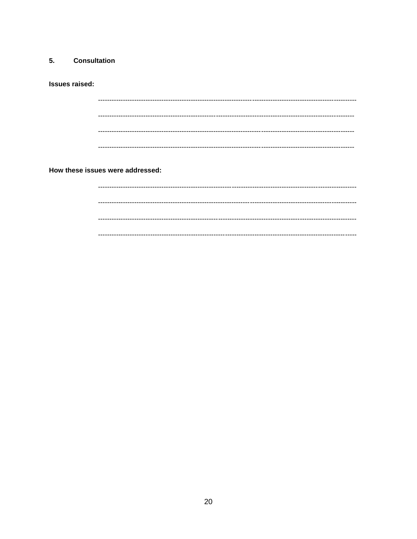#### 5. **Consultation**

**Issues raised:** 

How these issues were addressed: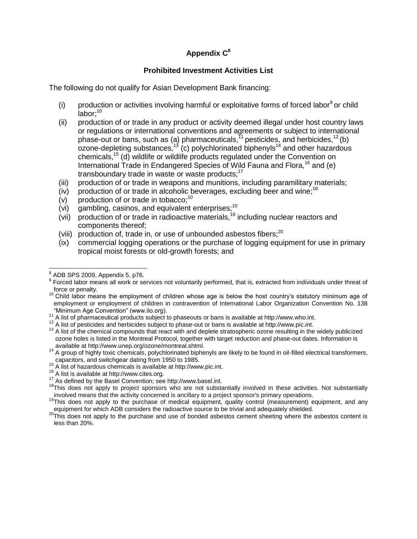# **Appendix C 8**

### **Prohibited Investment Activities List**

The following do not qualify for Asian Development Bank financing:

- (i) production or activities involving harmful or exploitative forms of forced labor $9$  or child labor: $10$
- (ii) production of or trade in any product or activity deemed illegal under host country laws or regulations or international conventions and agreements or subject to international phase-out or bans, such as (a) pharmaceuticals,  $11$  pesticides, and herbicides,  $12$  (b) ozone-depleting substances, $^{13}$  (c) polychlorinated biphenyls<sup>14</sup> and other hazardous chemicals,<sup>15</sup> (d) wildlife or wildlife products regulated under the Convention on International Trade in Endangered Species of Wild Fauna and Flora,<sup>16</sup> and (e) transboundary trade in waste or waste products: $17$
- (iii) production of or trade in weapons and munitions, including paramilitary materials;
- (iv) production of or trade in alcoholic beverages, excluding beer and wine;<sup>18</sup>
- (v) production of or trade in tobacco; $10$
- (vi) gambling, casinos, and equivalent enterprises; $10$
- $(vii)$  production of or trade in radioactive materials,<sup>19</sup> including nuclear reactors and components thereof;
- (viii) production of, trade in, or use of unbounded asbestos fibers; $^{20}$
- (ix) commercial logging operations or the purchase of logging equipment for use in primary tropical moist forests or old-growth forests; and

<sup>14</sup> A group of highly toxic chemicals, polychlorinated biphenyls are likely to be found in oil-filled electrical transformers, capacitors, and switchgear dating from 1950 to 1985.

 8 ADB SPS 2009, Appendix 5, p76.

<sup>&</sup>lt;sup>9</sup> Forced labor means all work or services not voluntarily performed, that is, extracted from individuals under threat of force or penalty.

<sup>&</sup>lt;sup>10</sup> Child labor means the employment of children whose age is below the host country's statutory minimum age of employment or employment of children in contravention of International Labor Organization Convention No. 138 "Minimum Age Convention" (www.ilo.org).

 $11$  A list of pharmaceutical products subject to phaseouts or bans is available at http://www.who.int.

<sup>12</sup> A list of pesticides and herbicides subject to phase-out or bans is available at http://www.pic.int.

<sup>&</sup>lt;sup>13</sup> A list of the chemical compounds that react with and deplete stratospheric ozone resulting in the widely publicized ozone holes is listed in the Montreal Protocol, together with target reduction and phase-out dates. Information is available at http://www.unep.org/ozone/montreal.shtml.

 $15$  A list of hazardous chemicals is available at http://www.pic.int.

<sup>16</sup> A list is available at http://www.cites.org.

<sup>17</sup> As defined by the Basel Convention; see http://www.basel.int.

<sup>&</sup>lt;sup>18</sup>This does not apply to project sponsors who are not substantially involved in these activities. Not substantially involved means that the activity concerned is ancillary to a project sponsor's primary operations.

<sup>&</sup>lt;sup>19</sup>This does not apply to the purchase of medical equipment, quality control (measurement) equipment, and any equipment for which ADB considers the radioactive source to be trivial and adequately shielded.

 $^{20}$ This does not apply to the purchase and use of bonded asbestos cement sheeting where the asbestos content is less than 20%.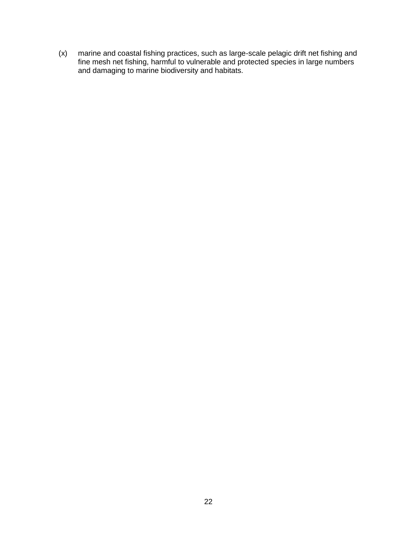(x) marine and coastal fishing practices, such as large-scale pelagic drift net fishing and fine mesh net fishing, harmful to vulnerable and protected species in large numbers and damaging to marine biodiversity and habitats.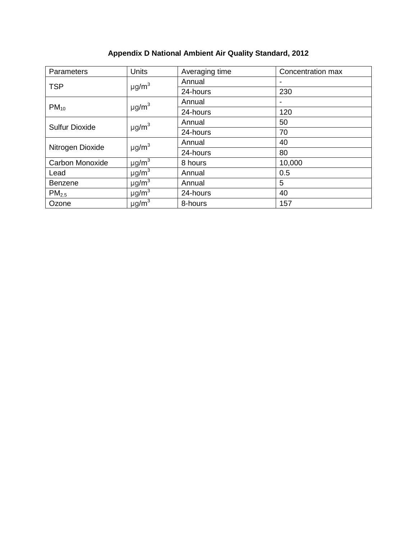| Parameters            | <b>Units</b>           | Averaging time | Concentration max |
|-----------------------|------------------------|----------------|-------------------|
| <b>TSP</b>            | $\mu$ g/m <sup>3</sup> | Annual         |                   |
|                       |                        | 24-hours       | 230               |
| $PM_{10}$             | $\mu$ g/m <sup>3</sup> | Annual         | -                 |
|                       |                        | 24-hours       | 120               |
| <b>Sulfur Dioxide</b> | $\mu$ g/m <sup>3</sup> | Annual         | 50                |
|                       |                        | 24-hours       | 70                |
| Nitrogen Dioxide      | $\mu$ g/m <sup>3</sup> | Annual         | 40                |
|                       |                        | 24-hours       | 80                |
| Carbon Monoxide       | $\mu$ g/m $^3$         | 8 hours        | 10,000            |
| Lead                  | $\mu$ g/m <sup>3</sup> | Annual         | 0.5               |
| <b>Benzene</b>        | $\mu$ g/m <sup>3</sup> | Annual         | 5                 |
| PM <sub>2.5</sub>     | $\mu$ g/m <sup>3</sup> | 24-hours       | 40                |
| Ozone                 | $\mu$ g/m <sup>3</sup> | 8-hours        | 157               |

# **Appendix D National Ambient Air Quality Standard, 2012**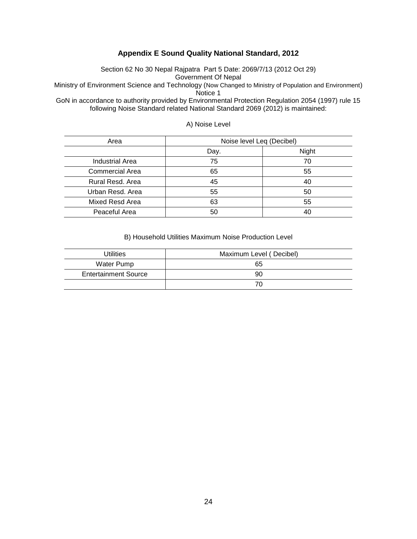#### **Appendix E Sound Quality National Standard, 2012**

Section 62 No 30 Nepal Rajpatra Part 5 Date: 2069/7/13 (2012 Oct 29) Government Of Nepal

Ministry of Environment Science and Technology (Now Changed to Ministry of Population and Environment) Notice 1

GoN in accordance to authority provided by Environmental Protection Regulation 2054 (1997) rule 15 following Noise Standard related National Standard 2069 (2012) is maintained:

| Area                   | Noise level Leq (Decibel) |       |  |
|------------------------|---------------------------|-------|--|
|                        | Day.                      | Night |  |
| <b>Industrial Area</b> | 75                        | 70    |  |
| <b>Commercial Area</b> | 65                        | 55    |  |
| Rural Resd. Area       | 45                        | 40    |  |
| Urban Resd. Area       | 55                        | 50    |  |
| Mixed Resd Area        | 63                        | 55    |  |
| Peaceful Area          | 50                        | 40    |  |

#### A) Noise Level

#### B) Household Utilities Maximum Noise Production Level

| Utilities                   | Maximum Level (Decibel) |
|-----------------------------|-------------------------|
| Water Pump                  | 65                      |
| <b>Entertainment Source</b> | 90                      |
|                             | 70                      |